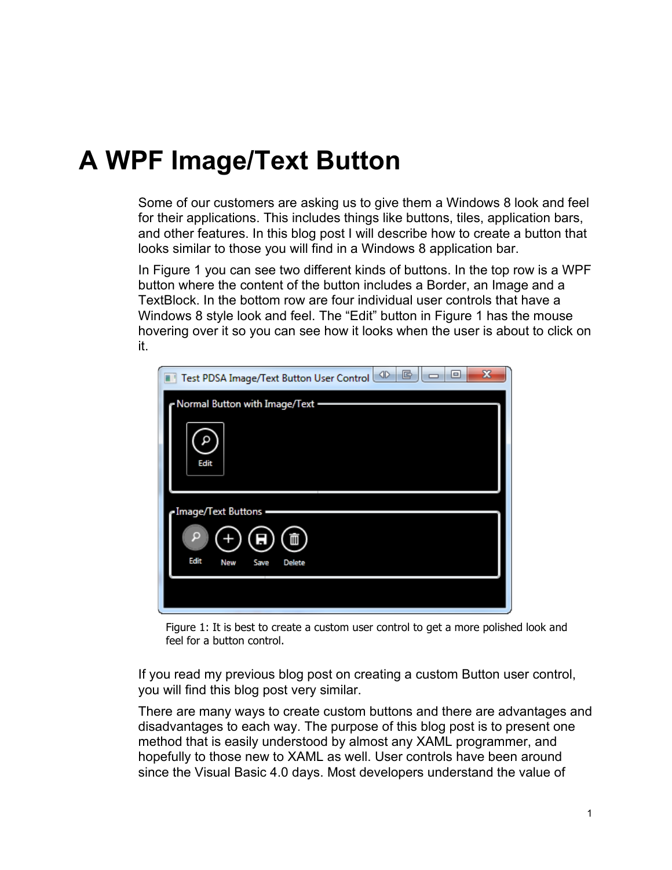# **A WPF Image/Text Button**

Some of our customers are asking us to give them a Windows 8 look and feel for their applications. This includes things like buttons, tiles, application bars, and other features. In this blog post I will describe how to create a button that looks similar to those you will find in a Windows 8 application bar.

In [Figure 1](#page-0-0) you can see two different kinds of buttons. In the top row is a WPF button where the content of the button includes a Border, an Image and a TextBlock. In the bottom row are four individual user controls that have a Windows 8 style look and feel. The "Edit" button in [Figure 1](#page-0-0) has the mouse hovering over it so you can see how it looks when the user is about to click on it.

| x<br>Test PDSA Image/Text Button User Control<br>e<br>回 |
|---------------------------------------------------------|
| Normal Button with Image/Text -                         |
|                                                         |
| Edit                                                    |
| Image/Text Buttons =                                    |
| O<br>Edit<br><b>New</b><br><b>Delete</b><br>Save        |
|                                                         |
|                                                         |

Figure 1: It is best to create a custom user control to get a more polished look and feel for a button control.

<span id="page-0-0"></span>If you read my previous blog post on creating a custom Button user control, you will find this blog post very similar.

There are many ways to create custom buttons and there are advantages and disadvantages to each way. The purpose of this blog post is to present one method that is easily understood by almost any XAML programmer, and hopefully to those new to XAML as well. User controls have been around since the Visual Basic 4.0 days. Most developers understand the value of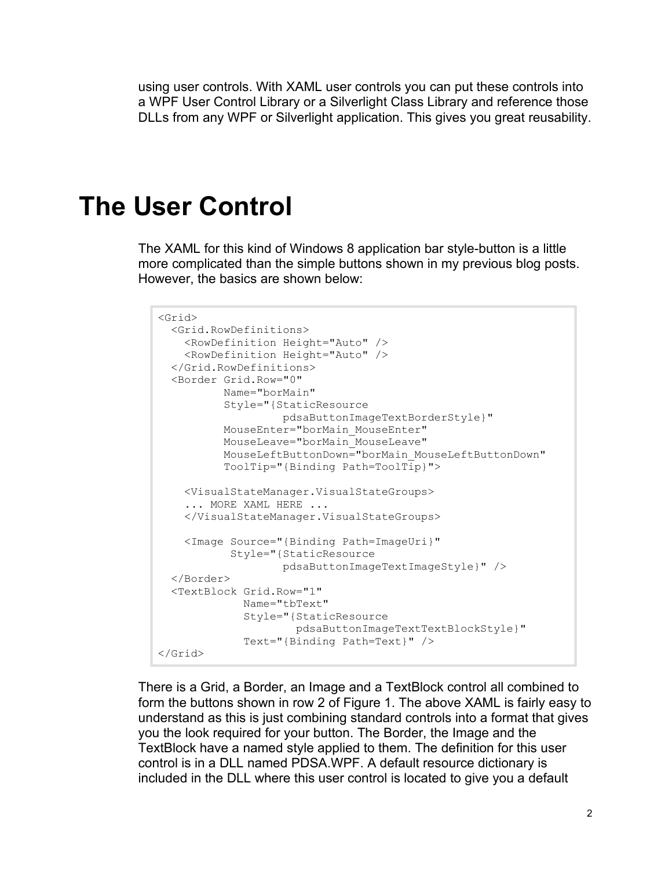using user controls. With XAML user controls you can put these controls into a WPF User Control Library or a Silverlight Class Library and reference those DLLs from any WPF or Silverlight application. This gives you great reusability.

## **The User Control**

The XAML for this kind of Windows 8 application bar style-button is a little more complicated than the simple buttons shown in my previous blog posts. However, the basics are shown below:

```
<Grid>
  <Grid.RowDefinitions>
     <RowDefinition Height="Auto" />
    <RowDefinition Height="Auto" />
  </Grid.RowDefinitions>
  <Border Grid.Row="0"
           Name="borMain"
           Style="{StaticResource 
                   pdsaButtonImageTextBorderStyle}"
           MouseEnter="borMain_MouseEnter"
           MouseLeave="borMain_MouseLeave"
           MouseLeftButtonDown="borMain_MouseLeftButtonDown"
           ToolTip="{Binding Path=ToolTip}">
    <VisualStateManager.VisualStateGroups>
     ... MORE XAML HERE ...
     </VisualStateManager.VisualStateGroups>
     <Image Source="{Binding Path=ImageUri}"
            Style="{StaticResource 
                    pdsaButtonImageTextImageStyle}" />
  </Border>
  <TextBlock Grid.Row="1"
              Name="tbText"
              Style="{StaticResource 
                      pdsaButtonImageTextTextBlockStyle}"
              Text="{Binding Path=Text}" />
</Grid>
```
There is a Grid, a Border, an Image and a TextBlock control all combined to form the buttons shown in row 2 of [Figure 1.](#page-0-0) The above XAML is fairly easy to understand as this is just combining standard controls into a format that gives you the look required for your button. The Border, the Image and the TextBlock have a named style applied to them. The definition for this user control is in a DLL named PDSA.WPF. A default resource dictionary is included in the DLL where this user control is located to give you a default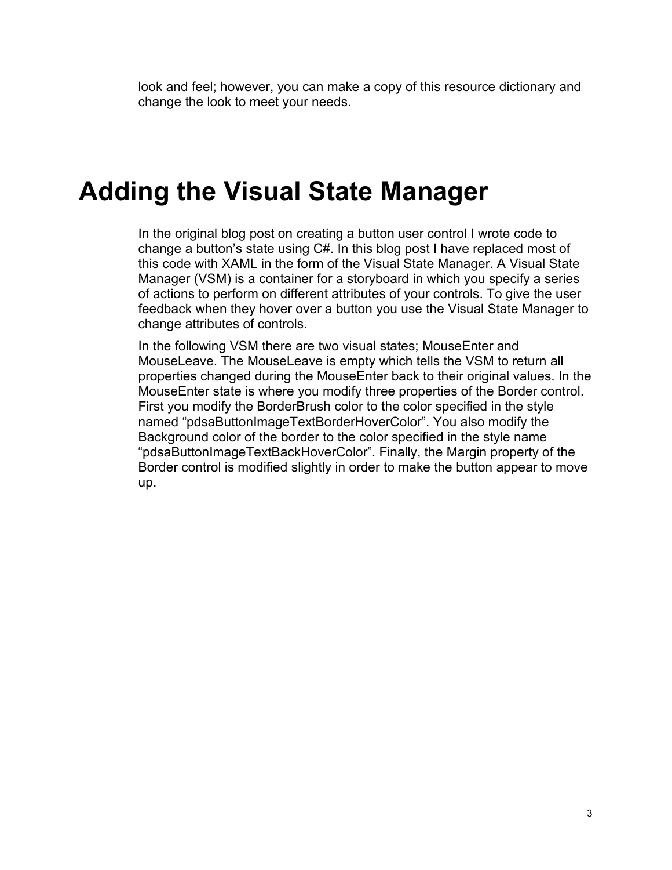look and feel; however, you can make a copy of this resource dictionary and change the look to meet your needs.

#### **Adding the Visual State Manager**

In the original blog post on creating a button user control I wrote code to change a button's state using C#. In this blog post I have replaced most of this code with XAML in the form of the Visual State Manager. A Visual State Manager (VSM) is a container for a storyboard in which you specify a series of actions to perform on different attributes of your controls. To give the user feedback when they hover over a button you use the Visual State Manager to change attributes of controls.

In the following VSM there are two visual states; MouseEnter and MouseLeave. The MouseLeave is empty which tells the VSM to return all properties changed during the MouseEnter back to their original values. In the MouseEnter state is where you modify three properties of the Border control. First you modify the BorderBrush color to the color specified in the style named "pdsaButtonImageTextBorderHoverColor". You also modify the Background color of the border to the color specified in the style name "pdsaButtonImageTextBackHoverColor". Finally, the Margin property of the Border control is modified slightly in order to make the button appear to move up.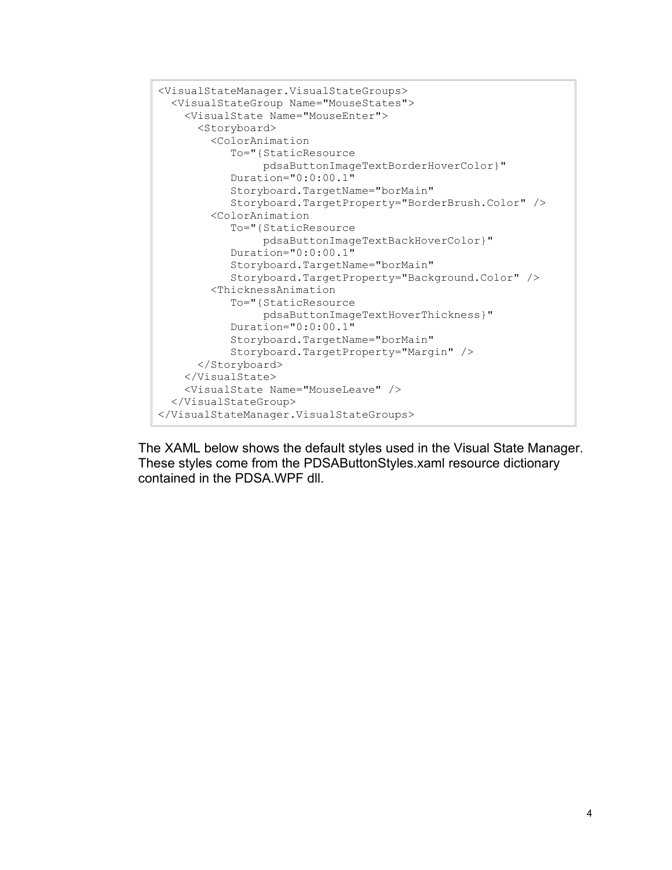```
<VisualStateManager.VisualStateGroups>
   <VisualStateGroup Name="MouseStates">
     <VisualState Name="MouseEnter">
       <Storyboard>
         <ColorAnimation
            To="{StaticResource 
                 pdsaButtonImageTextBorderHoverColor}"
            Duration="0:0:00.1"
            Storyboard.TargetName="borMain"
            Storyboard.TargetProperty="BorderBrush.Color" />
         <ColorAnimation 
            To="{StaticResource 
                 pdsaButtonImageTextBackHoverColor}"
            Duration="0:0:00.1"
            Storyboard.TargetName="borMain"
            Storyboard.TargetProperty="Background.Color" />
         <ThicknessAnimation 
            To="{StaticResource
                 pdsaButtonImageTextHoverThickness}"
            Duration="0:0:00.1"
            Storyboard.TargetName="borMain"
            Storyboard.TargetProperty="Margin" />
       </Storyboard>
     </VisualState>
     <VisualState Name="MouseLeave" />
   </VisualStateGroup>
</VisualStateManager.VisualStateGroups>
```
The XAML below shows the default styles used in the Visual State Manager. These styles come from the PDSAButtonStyles.xaml resource dictionary contained in the PDSA.WPF dll.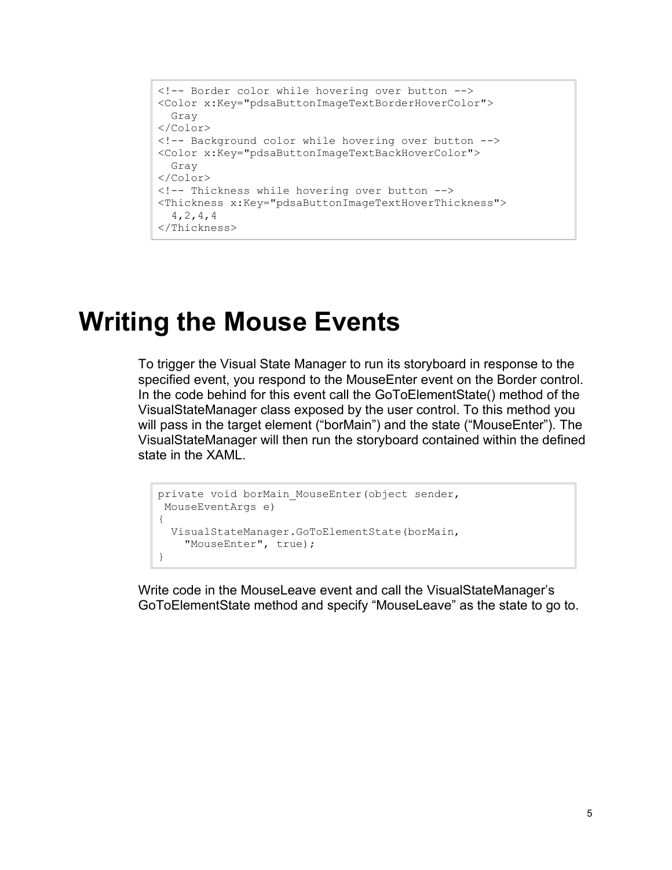```
<!-- Border color while hovering over button -->
<Color x:Key="pdsaButtonImageTextBorderHoverColor">
  Gray
</Color>
<!-- Background color while hovering over button -->
<Color x:Key="pdsaButtonImageTextBackHoverColor">
  Gray
</Color>
<!-- Thickness while hovering over button -->
<Thickness x:Key="pdsaButtonImageTextHoverThickness">
  4,2,4,4
</Thickness>
```
#### **Writing the Mouse Events**

To trigger the Visual State Manager to run its storyboard in response to the specified event, you respond to the MouseEnter event on the Border control. In the code behind for this event call the GoToElementState() method of the VisualStateManager class exposed by the user control. To this method you will pass in the target element ("borMain") and the state ("MouseEnter"). The VisualStateManager will then run the storyboard contained within the defined state in the XAML.

```
private void borMain MouseEnter(object sender,
MouseEventArgs e)
{
  VisualStateManager.GoToElementState(borMain,
     "MouseEnter", true);
}
```
Write code in the MouseLeave event and call the VisualStateManager's GoToElementState method and specify "MouseLeave" as the state to go to.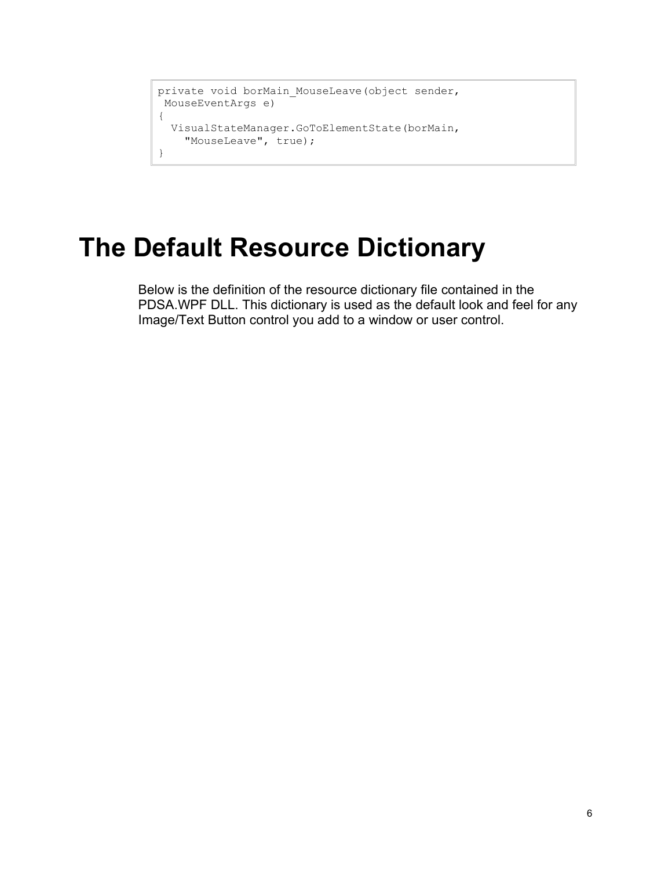```
private void borMain MouseLeave(object sender,
MouseEventArgs e)
{
  VisualStateManager.GoToElementState(borMain, 
    "MouseLeave", true);
}
```
## **The Default Resource Dictionary**

Below is the definition of the resource dictionary file contained in the PDSA.WPF DLL. This dictionary is used as the default look and feel for any Image/Text Button control you add to a window or user control.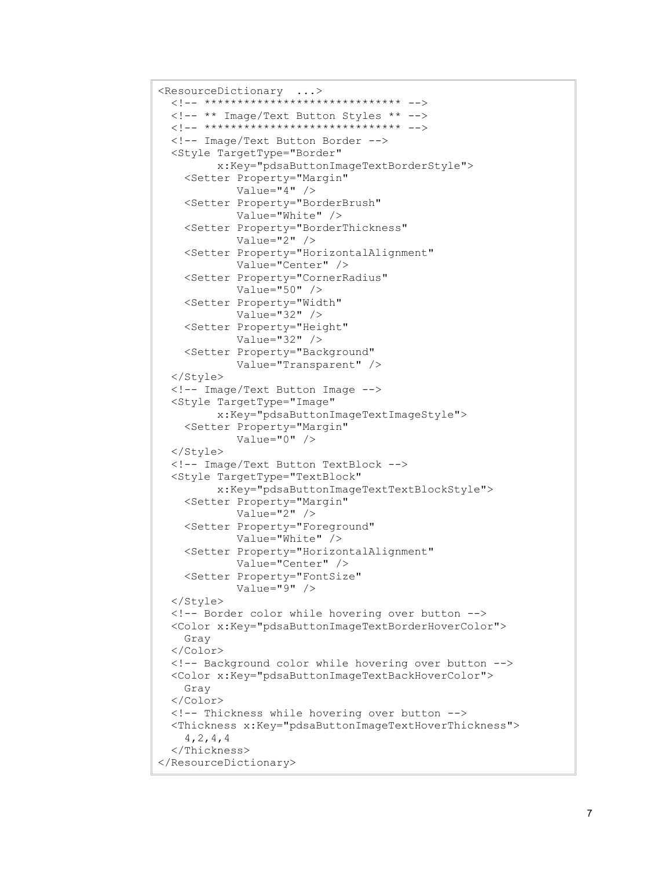```
<ResourceDictionary ...>
  <!-- ****************************** -->
   <!-- ** Image/Text Button Styles ** -->
   <!-- ****************************** -->
   <!-- Image/Text Button Border -->
   <Style TargetType="Border"
          x:Key="pdsaButtonImageTextBorderStyle">
     <Setter Property="Margin"
             Value="4" />
     <Setter Property="BorderBrush"
             Value="White" />
     <Setter Property="BorderThickness"
             Value="2" />
     <Setter Property="HorizontalAlignment"
             Value="Center" />
     <Setter Property="CornerRadius"
             Value="50" />
     <Setter Property="Width"
             Value="32" />
     <Setter Property="Height"
             Value="32" />
     <Setter Property="Background"
             Value="Transparent" />
   </Style>
   <!-- Image/Text Button Image -->
   <Style TargetType="Image"
          x:Key="pdsaButtonImageTextImageStyle">
     <Setter Property="Margin"
             Value="0" />
   </Style>
   <!-- Image/Text Button TextBlock -->
   <Style TargetType="TextBlock"
          x:Key="pdsaButtonImageTextTextBlockStyle">
     <Setter Property="Margin"
            Value="2" />
     <Setter Property="Foreground"
             Value="White" />
     <Setter Property="HorizontalAlignment"
             Value="Center" />
     <Setter Property="FontSize"
             Value="9" />
   </Style>
   <!-- Border color while hovering over button -->
   <Color x:Key="pdsaButtonImageTextBorderHoverColor">
     Gray
   </Color>
   <!-- Background color while hovering over button -->
   <Color x:Key="pdsaButtonImageTextBackHoverColor">
     Gray
  </Color>
   <!-- Thickness while hovering over button -->
   <Thickness x:Key="pdsaButtonImageTextHoverThickness">
     4,2,4,4
  </Thickness>
</ResourceDictionary>
```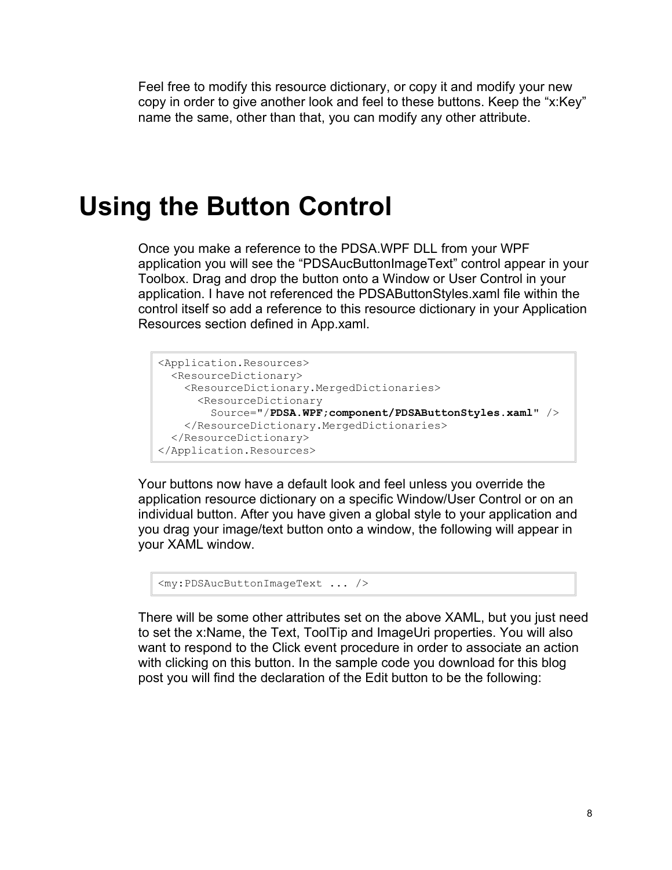Feel free to modify this resource dictionary, or copy it and modify your new copy in order to give another look and feel to these buttons. Keep the "x:Key" name the same, other than that, you can modify any other attribute.

### **Using the Button Control**

Once you make a reference to the PDSA.WPF DLL from your WPF application you will see the "PDSAucButtonImageText" control appear in your Toolbox. Drag and drop the button onto a Window or User Control in your application. I have not referenced the PDSAButtonStyles.xaml file within the control itself so add a reference to this resource dictionary in your Application Resources section defined in App.xaml.

```
<Application.Resources>
  <ResourceDictionary>
    <ResourceDictionary.MergedDictionaries>
       <ResourceDictionary 
         Source="/PDSA.WPF;component/PDSAButtonStyles.xaml" />
    </ResourceDictionary.MergedDictionaries>
  </ResourceDictionary>
</Application.Resources>
```
Your buttons now have a default look and feel unless you override the application resource dictionary on a specific Window/User Control or on an individual button. After you have given a global style to your application and you drag your image/text button onto a window, the following will appear in your XAML window.

```
<my:PDSAucButtonImageText ... />
```
There will be some other attributes set on the above XAML, but you just need to set the x:Name, the Text, ToolTip and ImageUri properties. You will also want to respond to the Click event procedure in order to associate an action with clicking on this button. In the sample code you download for this blog post you will find the declaration of the Edit button to be the following: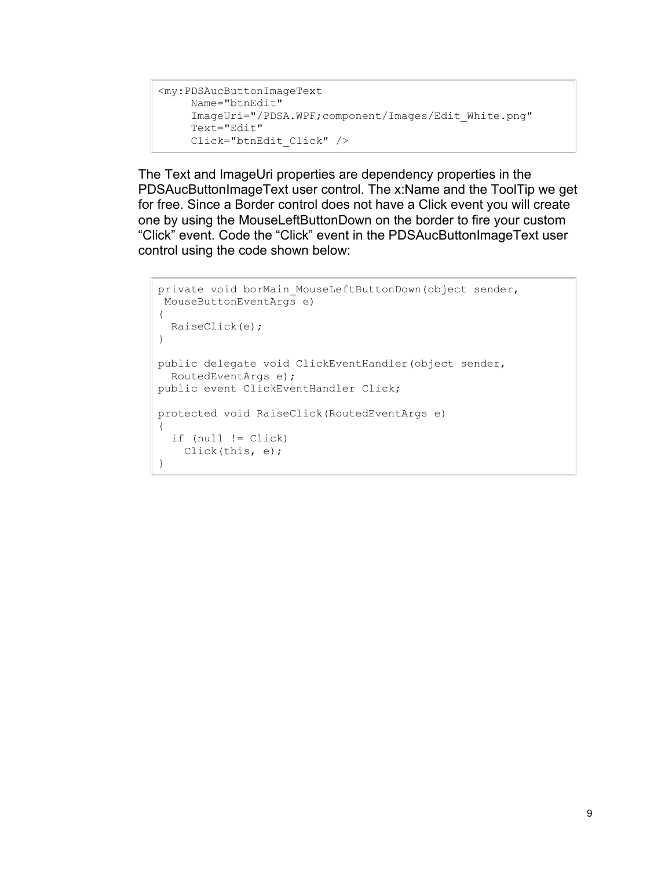```
<my:PDSAucButtonImageText 
     Name="btnEdit"
     ImageUri="/PDSA.WPF;component/Images/Edit_White.png"
      Text="Edit"
      Click="btnEdit_Click" />
```
The Text and ImageUri properties are dependency properties in the PDSAucButtonImageText user control. The x:Name and the ToolTip we get for free. Since a Border control does not have a Click event you will create one by using the MouseLeftButtonDown on the border to fire your custom "Click" event. Code the "Click" event in the PDSAucButtonImageText user control using the code shown below:

```
private void borMain MouseLeftButtonDown(object sender,
MouseButtonEventArgs e)
{
  RaiseClick(e);
}
public delegate void ClickEventHandler(object sender,
  RoutedEventArgs e);
public event ClickEventHandler Click;
protected void RaiseClick(RoutedEventArgs e)
{
   if (null != Click)
    Click(this, e);
}
```